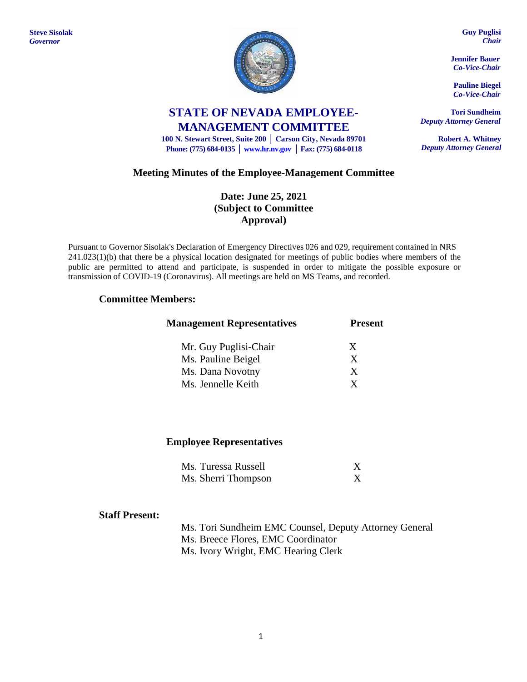

**STATE OF NEVADA EMPLOYEE-MANAGEMENT COMMITTEE**

**100 N. Stewart Street, Suite 200 │ Carson City, Nevada 89701 Phone: (775) 684-0135 │ [www.hr.nv.gov](http://www.hr.nv.gov/) │ Fax: (775) 684-0118**

# **Meeting Minutes of the Employee-Management Committee**

# **Date: June 25, 2021 (Subject to Committee Approval)**

Pursuant to Governor Sisolak's Declaration of Emergency Directives 026 and 029, requirement contained in NRS 241.023(1)(b) that there be a physical location designated for meetings of public bodies where members of the public are permitted to attend and participate, is suspended in order to mitigate the possible exposure or transmission of COVID-19 (Coronavirus). All meetings are held on MS Teams, and recorded.

## **Committee Members:**

| <b>Management Representatives</b> | <b>Present</b> |  |
|-----------------------------------|----------------|--|
| Mr. Guy Puglisi-Chair             | X              |  |
| Ms. Pauline Beigel                | X              |  |
| Ms. Dana Novotny                  | X              |  |
| Ms. Jennelle Keith                | X              |  |

### **Employee Representatives**

| Ms. Turessa Russell |  |
|---------------------|--|
| Ms. Sherri Thompson |  |

### **Staff Present:**

Ms. Tori Sundheim EMC Counsel, Deputy Attorney General Ms. Breece Flores, EMC Coordinator Ms. Ivory Wright, EMC Hearing Clerk

**Guy Puglisi** *Chair*

**Jennifer Bauer** *Co-Vice-Chair*

**Pauline Biegel** *Co-Vice-Chair*

**Tori Sundheim** *Deputy Attorney General*

**Robert A. Whitney** *Deputy Attorney General*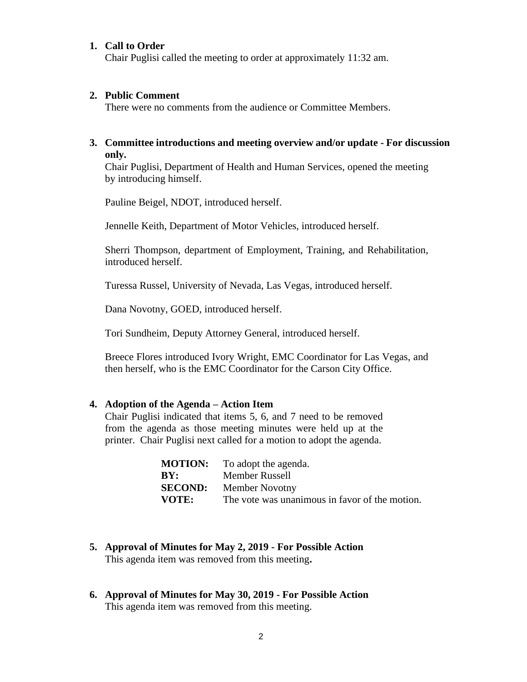#### **1. Call to Order**

Chair Puglisi called the meeting to order at approximately 11:32 am.

#### **2. Public Comment**

There were no comments from the audience or Committee Members.

## **3. Committee introductions and meeting overview and/or update - For discussion only.**

Chair Puglisi, Department of Health and Human Services, opened the meeting by introducing himself.

Pauline Beigel, NDOT, introduced herself.

Jennelle Keith, Department of Motor Vehicles, introduced herself.

Sherri Thompson, department of Employment, Training, and Rehabilitation, introduced herself.

Turessa Russel, University of Nevada, Las Vegas, introduced herself.

Dana Novotny, GOED, introduced herself.

Tori Sundheim, Deputy Attorney General, introduced herself.

Breece Flores introduced Ivory Wright, EMC Coordinator for Las Vegas, and then herself, who is the EMC Coordinator for the Carson City Office.

#### **4. Adoption of the Agenda – Action Item**

Chair Puglisi indicated that items 5, 6, and 7 need to be removed from the agenda as those meeting minutes were held up at the printer. Chair Puglisi next called for a motion to adopt the agenda.

| <b>MOTION:</b> | To adopt the agenda.                           |
|----------------|------------------------------------------------|
| BY:            | Member Russell                                 |
| <b>SECOND:</b> | <b>Member Novotny</b>                          |
| <b>VOTE:</b>   | The vote was unanimous in favor of the motion. |

- **5. Approval of Minutes for May 2, 2019 - For Possible Action** This agenda item was removed from this meeting**.**
- **6. Approval of Minutes for May 30, 2019 - For Possible Action** This agenda item was removed from this meeting.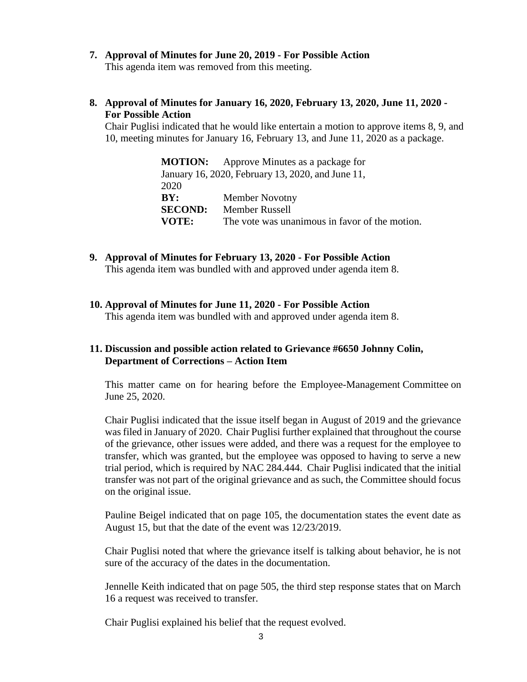**7. Approval of Minutes for June 20, 2019 - For Possible Action**

This agenda item was removed from this meeting.

**8. Approval of Minutes for January 16, 2020, February 13, 2020, June 11, 2020 - For Possible Action**

Chair Puglisi indicated that he would like entertain a motion to approve items 8, 9, and 10, meeting minutes for January 16, February 13, and June 11, 2020 as a package.

|                | <b>MOTION:</b> Approve Minutes as a package for   |
|----------------|---------------------------------------------------|
|                | January 16, 2020, February 13, 2020, and June 11, |
| 2020           |                                                   |
| BY:            | <b>Member Novotny</b>                             |
| <b>SECOND:</b> | <b>Member Russell</b>                             |
| VOTE:          | The vote was unanimous in favor of the motion.    |

- **9. Approval of Minutes for February 13, 2020 - For Possible Action** This agenda item was bundled with and approved under agenda item 8.
- **10. Approval of Minutes for June 11, 2020 - For Possible Action**

This agenda item was bundled with and approved under agenda item 8.

# **11. Discussion and possible action related to Grievance #6650 Johnny Colin, Department of Corrections – Action Item**

This matter came on for hearing before the Employee-Management Committee on June 25, 2020.

Chair Puglisi indicated that the issue itself began in August of 2019 and the grievance was filed in January of 2020. Chair Puglisi further explained that throughout the course of the grievance, other issues were added, and there was a request for the employee to transfer, which was granted, but the employee was opposed to having to serve a new trial period, which is required by NAC 284.444. Chair Puglisi indicated that the initial transfer was not part of the original grievance and as such, the Committee should focus on the original issue.

Pauline Beigel indicated that on page 105, the documentation states the event date as August 15, but that the date of the event was 12/23/2019.

Chair Puglisi noted that where the grievance itself is talking about behavior, he is not sure of the accuracy of the dates in the documentation.

Jennelle Keith indicated that on page 505, the third step response states that on March 16 a request was received to transfer.

Chair Puglisi explained his belief that the request evolved.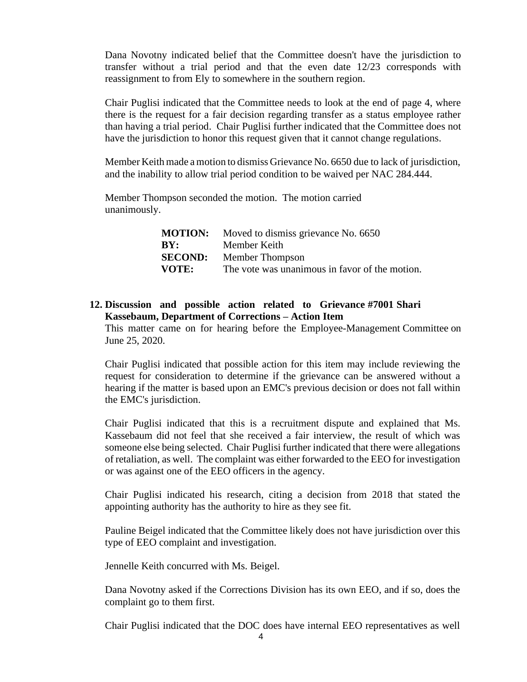Dana Novotny indicated belief that the Committee doesn't have the jurisdiction to transfer without a trial period and that the even date 12/23 corresponds with reassignment to from Ely to somewhere in the southern region.

Chair Puglisi indicated that the Committee needs to look at the end of page 4, where there is the request for a fair decision regarding transfer as a status employee rather than having a trial period. Chair Puglisi further indicated that the Committee does not have the jurisdiction to honor this request given that it cannot change regulations.

Member Keith made a motion to dismiss Grievance No. 6650 due to lack of jurisdiction, and the inability to allow trial period condition to be waived per NAC 284.444.

Member Thompson seconded the motion. The motion carried unanimously.

|       | <b>MOTION:</b> Moved to dismiss grievance No. 6650 |
|-------|----------------------------------------------------|
| BY:   | Member Keith                                       |
|       | <b>SECOND:</b> Member Thompson                     |
| VOTE: | The vote was unanimous in favor of the motion.     |

## **12. Discussion and possible action related to Grievance #7001 Shari Kassebaum, Department of Corrections – Action Item**

This matter came on for hearing before the Employee-Management Committee on June 25, 2020.

Chair Puglisi indicated that possible action for this item may include reviewing the request for consideration to determine if the grievance can be answered without a hearing if the matter is based upon an EMC's previous decision or does not fall within the EMC's jurisdiction.

Chair Puglisi indicated that this is a recruitment dispute and explained that Ms. Kassebaum did not feel that she received a fair interview, the result of which was someone else being selected. Chair Puglisi further indicated that there were allegations of retaliation, as well. The complaint was either forwarded to the EEO for investigation or was against one of the EEO officers in the agency.

Chair Puglisi indicated his research, citing a decision from 2018 that stated the appointing authority has the authority to hire as they see fit.

Pauline Beigel indicated that the Committee likely does not have jurisdiction over this type of EEO complaint and investigation.

Jennelle Keith concurred with Ms. Beigel.

Dana Novotny asked if the Corrections Division has its own EEO, and if so, does the complaint go to them first.

Chair Puglisi indicated that the DOC does have internal EEO representatives as well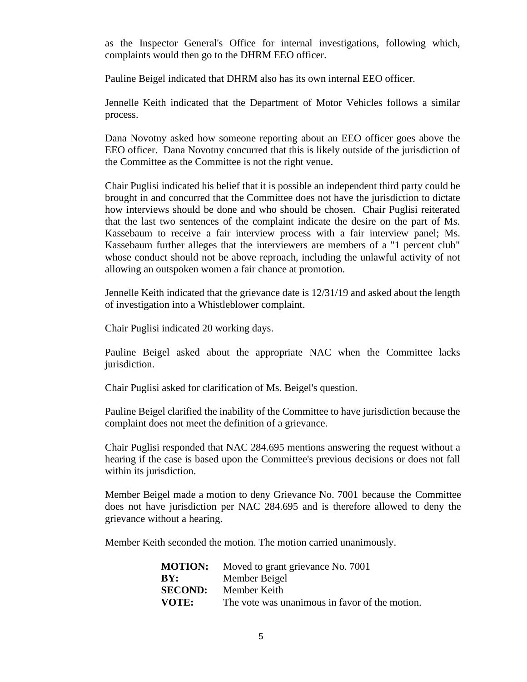as the Inspector General's Office for internal investigations, following which, complaints would then go to the DHRM EEO officer.

Pauline Beigel indicated that DHRM also has its own internal EEO officer.

Jennelle Keith indicated that the Department of Motor Vehicles follows a similar process.

Dana Novotny asked how someone reporting about an EEO officer goes above the EEO officer. Dana Novotny concurred that this is likely outside of the jurisdiction of the Committee as the Committee is not the right venue.

Chair Puglisi indicated his belief that it is possible an independent third party could be brought in and concurred that the Committee does not have the jurisdiction to dictate how interviews should be done and who should be chosen. Chair Puglisi reiterated that the last two sentences of the complaint indicate the desire on the part of Ms. Kassebaum to receive a fair interview process with a fair interview panel; Ms. Kassebaum further alleges that the interviewers are members of a "1 percent club" whose conduct should not be above reproach, including the unlawful activity of not allowing an outspoken women a fair chance at promotion.

Jennelle Keith indicated that the grievance date is 12/31/19 and asked about the length of investigation into a Whistleblower complaint.

Chair Puglisi indicated 20 working days.

Pauline Beigel asked about the appropriate NAC when the Committee lacks jurisdiction.

Chair Puglisi asked for clarification of Ms. Beigel's question.

Pauline Beigel clarified the inability of the Committee to have jurisdiction because the complaint does not meet the definition of a grievance.

Chair Puglisi responded that NAC 284.695 mentions answering the request without a hearing if the case is based upon the Committee's previous decisions or does not fall within its jurisdiction.

Member Beigel made a motion to deny Grievance No. 7001 because the Committee does not have jurisdiction per NAC 284.695 and is therefore allowed to deny the grievance without a hearing.

Member Keith seconded the motion. The motion carried unanimously.

| <b>MOTION:</b> | Moved to grant grievance No. 7001              |
|----------------|------------------------------------------------|
| BY:            | Member Beigel                                  |
| <b>SECOND:</b> | Member Keith                                   |
| VOTE:          | The vote was unanimous in favor of the motion. |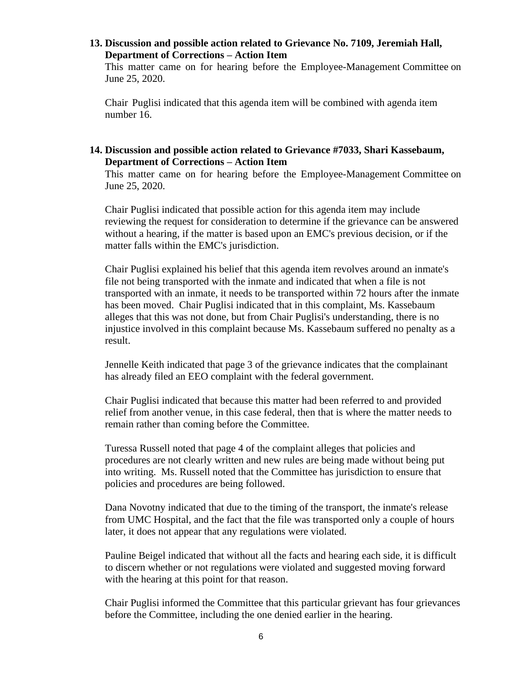### **13. Discussion and possible action related to Grievance No. 7109, Jeremiah Hall, Department of Corrections – Action Item**

This matter came on for hearing before the Employee-Management Committee on June 25, 2020.

Chair Puglisi indicated that this agenda item will be combined with agenda item number 16.

## **14. Discussion and possible action related to Grievance #7033, Shari Kassebaum, Department of Corrections – Action Item**

This matter came on for hearing before the Employee-Management Committee on June 25, 2020.

Chair Puglisi indicated that possible action for this agenda item may include reviewing the request for consideration to determine if the grievance can be answered without a hearing, if the matter is based upon an EMC's previous decision, or if the matter falls within the EMC's jurisdiction.

Chair Puglisi explained his belief that this agenda item revolves around an inmate's file not being transported with the inmate and indicated that when a file is not transported with an inmate, it needs to be transported within 72 hours after the inmate has been moved. Chair Puglisi indicated that in this complaint, Ms. Kassebaum alleges that this was not done, but from Chair Puglisi's understanding, there is no injustice involved in this complaint because Ms. Kassebaum suffered no penalty as a result.

Jennelle Keith indicated that page 3 of the grievance indicates that the complainant has already filed an EEO complaint with the federal government.

Chair Puglisi indicated that because this matter had been referred to and provided relief from another venue, in this case federal, then that is where the matter needs to remain rather than coming before the Committee.

Turessa Russell noted that page 4 of the complaint alleges that policies and procedures are not clearly written and new rules are being made without being put into writing. Ms. Russell noted that the Committee has jurisdiction to ensure that policies and procedures are being followed.

Dana Novotny indicated that due to the timing of the transport, the inmate's release from UMC Hospital, and the fact that the file was transported only a couple of hours later, it does not appear that any regulations were violated.

Pauline Beigel indicated that without all the facts and hearing each side, it is difficult to discern whether or not regulations were violated and suggested moving forward with the hearing at this point for that reason.

Chair Puglisi informed the Committee that this particular grievant has four grievances before the Committee, including the one denied earlier in the hearing.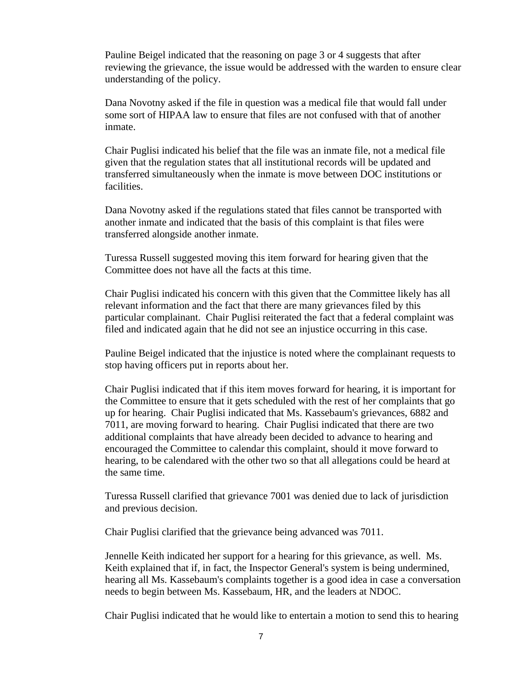Pauline Beigel indicated that the reasoning on page 3 or 4 suggests that after reviewing the grievance, the issue would be addressed with the warden to ensure clear understanding of the policy.

Dana Novotny asked if the file in question was a medical file that would fall under some sort of HIPAA law to ensure that files are not confused with that of another inmate.

Chair Puglisi indicated his belief that the file was an inmate file, not a medical file given that the regulation states that all institutional records will be updated and transferred simultaneously when the inmate is move between DOC institutions or facilities.

Dana Novotny asked if the regulations stated that files cannot be transported with another inmate and indicated that the basis of this complaint is that files were transferred alongside another inmate.

Turessa Russell suggested moving this item forward for hearing given that the Committee does not have all the facts at this time.

Chair Puglisi indicated his concern with this given that the Committee likely has all relevant information and the fact that there are many grievances filed by this particular complainant. Chair Puglisi reiterated the fact that a federal complaint was filed and indicated again that he did not see an injustice occurring in this case.

Pauline Beigel indicated that the injustice is noted where the complainant requests to stop having officers put in reports about her.

Chair Puglisi indicated that if this item moves forward for hearing, it is important for the Committee to ensure that it gets scheduled with the rest of her complaints that go up for hearing. Chair Puglisi indicated that Ms. Kassebaum's grievances, 6882 and 7011, are moving forward to hearing. Chair Puglisi indicated that there are two additional complaints that have already been decided to advance to hearing and encouraged the Committee to calendar this complaint, should it move forward to hearing, to be calendared with the other two so that all allegations could be heard at the same time.

Turessa Russell clarified that grievance 7001 was denied due to lack of jurisdiction and previous decision.

Chair Puglisi clarified that the grievance being advanced was 7011.

Jennelle Keith indicated her support for a hearing for this grievance, as well. Ms. Keith explained that if, in fact, the Inspector General's system is being undermined, hearing all Ms. Kassebaum's complaints together is a good idea in case a conversation needs to begin between Ms. Kassebaum, HR, and the leaders at NDOC.

Chair Puglisi indicated that he would like to entertain a motion to send this to hearing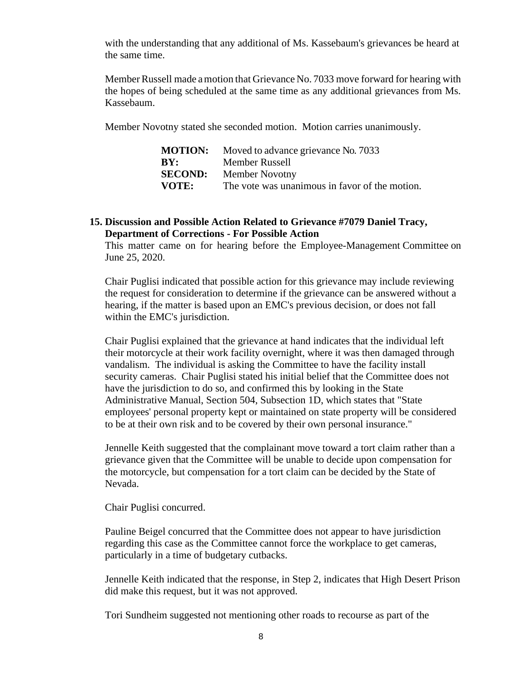with the understanding that any additional of Ms. Kassebaum's grievances be heard at the same time.

MemberRussell made amotion that Grievance No. 7033 move forward for hearing with the hopes of being scheduled at the same time as any additional grievances from Ms. Kassebaum.

Member Novotny stated she seconded motion. Motion carries unanimously.

|                | <b>MOTION:</b> Moved to advance grievance No. 7033 |
|----------------|----------------------------------------------------|
| BY:            | Member Russell                                     |
| <b>SECOND:</b> | <b>Member Novotny</b>                              |
| VOTE:          | The vote was unanimous in favor of the motion.     |

#### **15. Discussion and Possible Action Related to Grievance #7079 Daniel Tracy, Department of Corrections - For Possible Action**

This matter came on for hearing before the Employee-Management Committee on June 25, 2020.

Chair Puglisi indicated that possible action for this grievance may include reviewing the request for consideration to determine if the grievance can be answered without a hearing, if the matter is based upon an EMC's previous decision, or does not fall within the EMC's jurisdiction.

Chair Puglisi explained that the grievance at hand indicates that the individual left their motorcycle at their work facility overnight, where it was then damaged through vandalism. The individual is asking the Committee to have the facility install security cameras. Chair Puglisi stated his initial belief that the Committee does not have the jurisdiction to do so, and confirmed this by looking in the State Administrative Manual, Section 504, Subsection 1D, which states that "State employees' personal property kept or maintained on state property will be considered to be at their own risk and to be covered by their own personal insurance."

Jennelle Keith suggested that the complainant move toward a tort claim rather than a grievance given that the Committee will be unable to decide upon compensation for the motorcycle, but compensation for a tort claim can be decided by the State of Nevada.

Chair Puglisi concurred.

Pauline Beigel concurred that the Committee does not appear to have jurisdiction regarding this case as the Committee cannot force the workplace to get cameras, particularly in a time of budgetary cutbacks.

Jennelle Keith indicated that the response, in Step 2, indicates that High Desert Prison did make this request, but it was not approved.

Tori Sundheim suggested not mentioning other roads to recourse as part of the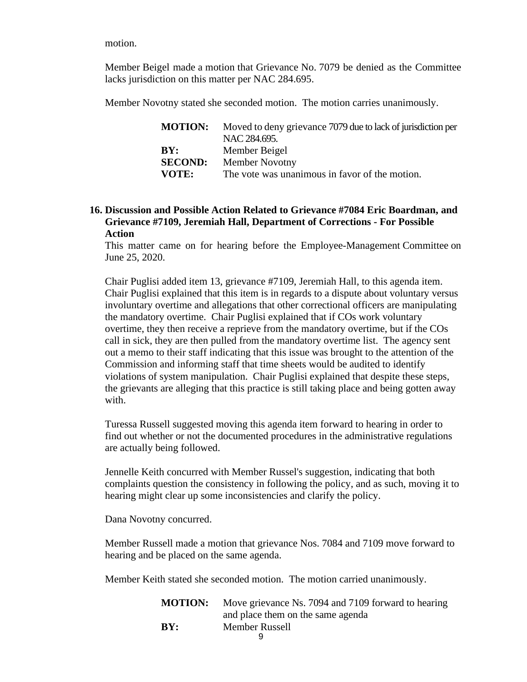motion.

Member Beigel made a motion that Grievance No. 7079 be denied as the Committee lacks jurisdiction on this matter per NAC 284.695.

Member Novotny stated she seconded motion. The motion carries unanimously.

| <b>MOTION:</b> | Moved to deny grievance 7079 due to lack of jurisdiction per |
|----------------|--------------------------------------------------------------|
|                | NAC 284.695.                                                 |
| BY:            | Member Beigel                                                |
| <b>SECOND:</b> | <b>Member Novotny</b>                                        |
| VOTE:          | The vote was unanimous in favor of the motion.               |

# **16. Discussion and Possible Action Related to Grievance #7084 Eric Boardman, and Grievance #7109, Jeremiah Hall, Department of Corrections - For Possible Action**

This matter came on for hearing before the Employee-Management Committee on June 25, 2020.

Chair Puglisi added item 13, grievance #7109, Jeremiah Hall, to this agenda item. Chair Puglisi explained that this item is in regards to a dispute about voluntary versus involuntary overtime and allegations that other correctional officers are manipulating the mandatory overtime. Chair Puglisi explained that if COs work voluntary overtime, they then receive a reprieve from the mandatory overtime, but if the COs call in sick, they are then pulled from the mandatory overtime list. The agency sent out a memo to their staff indicating that this issue was brought to the attention of the Commission and informing staff that time sheets would be audited to identify violations of system manipulation. Chair Puglisi explained that despite these steps, the grievants are alleging that this practice is still taking place and being gotten away with.

Turessa Russell suggested moving this agenda item forward to hearing in order to find out whether or not the documented procedures in the administrative regulations are actually being followed.

Jennelle Keith concurred with Member Russel's suggestion, indicating that both complaints question the consistency in following the policy, and as such, moving it to hearing might clear up some inconsistencies and clarify the policy.

Dana Novotny concurred.

Member Russell made a motion that grievance Nos. 7084 and 7109 move forward to hearing and be placed on the same agenda.

Member Keith stated she seconded motion. The motion carried unanimously.

|     | <b>MOTION:</b> Move grievance Ns. 7094 and 7109 forward to hearing |
|-----|--------------------------------------------------------------------|
|     | and place them on the same agenda                                  |
| BY: | <b>Member Russell</b>                                              |
|     |                                                                    |